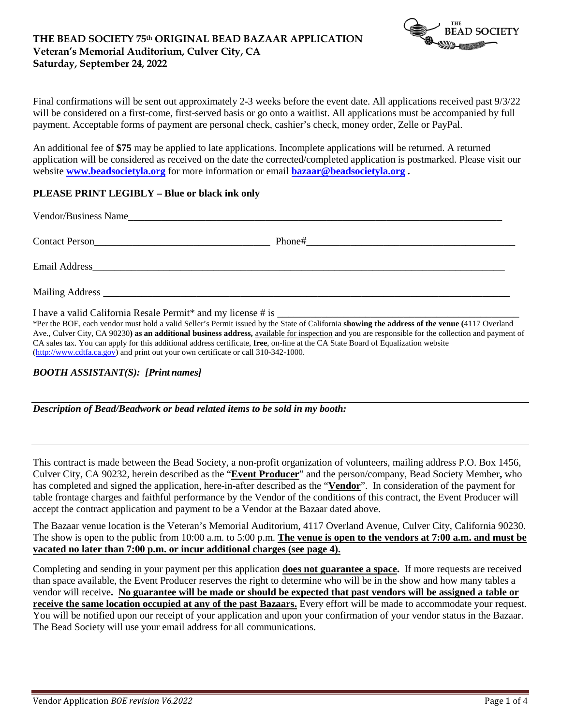

Final confirmations will be sent out approximately 2-3 weeks before the event date. All applications received past 9/3/22 will be considered on a first-come, first-served basis or go onto a waitlist. All applications must be accompanied by full payment. Acceptable forms of payment are personal check, cashier's check, money order, Zelle or PayPal.

An additional fee of **\$75** may be applied to late applications. Incomplete applications will be returned. A returned application will be considered as received on the date the corrected/completed application is postmarked. Please visit our website **[www.beadsocietyla.org](http://www.beadsocietyla.org/)** for more information or email **[bazaar@beadsocietyla.org](mailto:bazaar@beadsocietyla.org) .**

## **PLEASE PRINT LEGIBLY – Blue or black ink only**

| <b>Contact Person</b> | Phone#<br><u> 1980 - Jan James James James James James James James James James James James James James James James James</u> |  |
|-----------------------|------------------------------------------------------------------------------------------------------------------------------|--|
| Email Address         |                                                                                                                              |  |
| Mailing Address       |                                                                                                                              |  |

I have a valid California Resale Permit\* and my license # is

\*Per the BOE, each vendor must hold a valid Seller's Permit issued by the State of California **showing the address of the venue (**4117 Overland Ave., Culver City, CA 90230) as an additional business address, available for inspection and you are responsible for the collection and payment of CA sales tax. You can apply for this additional address certificate, **free**, on-line at the CA State Board of Equalization website [\(http://www.cdtfa.ca.gov\)](http://www.cdtfa.ca.gov/) and print out your own certificate or call 310-342-1000.

# *BOOTH ASSISTANT(S): [Print names]*

*Description of Bead/Beadwork or bead related items to be sold in my booth:*

This contract is made between the Bead Society, a non-profit organization of volunteers, mailing address P.O. Box 1456, Culver City, CA 90232, herein described as the "**Event Producer**" and the person/company, Bead Society Member**,** who has completed and signed the application, here-in-after described as the "**Vendor**". In consideration of the payment for table frontage charges and faithful performance by the Vendor of the conditions of this contract, the Event Producer will accept the contract application and payment to be a Vendor at the Bazaar dated above.

The Bazaar venue location is the Veteran's Memorial Auditorium, 4117 Overland Avenue, Culver City, California 90230. The show is open to the public from 10:00 a.m. to 5:00 p.m. **The venue is open to the vendors at 7:00 a.m. and must be vacated no later than 7:00 p.m. or incur additional charges (see page 4).**

Completing and sending in your payment per this application **does not guarantee a space.** If more requests are received than space available, the Event Producer reserves the right to determine who will be in the show and how many tables a vendor will receive**. No guarantee will be made or should be expected that past vendors will be assigned a table or receive the same location occupied at any of the past Bazaars.** Every effort will be made to accommodate your request. You will be notified upon our receipt of your application and upon your confirmation of your vendor status in the Bazaar. The Bead Society will use your email address for all communications.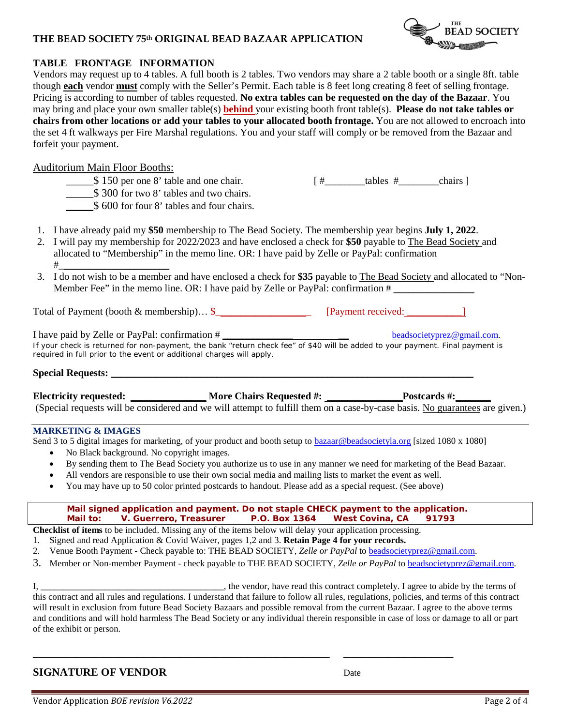# **THE BEAD SOCIETY 75th ORIGINAL BEAD BAZAAR APPLICATION**



# **TABLE FRONTAGE INFORMATION**

Vendors may request up to 4 tables. A full booth is 2 tables. Two vendors may share a 2 table booth or a single 8ft. table though **each** vendor **must** comply with the Seller's Permit. Each table is 8 feet long creating 8 feet of selling frontage. Pricing is according to number of tables requested. **No extra tables can be requested on the day of the Bazaar**. You may bring and place your own smaller table(s) **behind** your existing booth front table(s). **Please do not take tables or chairs from other locations or add your tables to your allocated booth frontage.** You are not allowed to encroach into the set 4 ft walkways per Fire Marshal regulations. You and your staff will comply or be removed from the Bazaar and forfeit your payment.

## Auditorium Main Floor Booths:

- $\frac{1}{2}$  150 per one 8' table and one chair. [#\_\_\_\_\_\_\_\_\_\_tables #\_\_\_\_\_\_\_\_\_\_\_\_\_\_\_chairs ]
	- $$300$  for two 8' tables and two chairs.
- $$600$  for four 8' tables and four chairs.
- 1. I have already paid my **\$50** membership to The Bead Society. The membership year begins **July 1, 2022**.
- 2. I will pay my membership for 2022/2023 and have enclosed a check for **\$50** payable to The Bead Society and allocated to "Membership" in the memo line. OR: I have paid by Zelle or PayPal: confirmation #\_\_\_\_\_\_\_\_\_\_\_\_\_\_\_\_\_\_\_\_\_\_
- 3. I do not wish to be a member and have enclosed a check for **\$35** payable to The Bead Society and allocated to "Non-Member Fee" in the memo line. OR: I have paid by Zelle or PayPal: confirmation  $\#$

Total of Payment (booth & membership)… \$\_\_\_\_\_\_\_\_\_\_\_\_\_\_\_\_\_\_\_ [Payment received: \_\_\_\_\_\_\_\_\_\_\_]

I have paid by Zelle or PayPal: confirmation # \_\_\_\_\_\_\_\_\_\_\_\_\_\_ \_\_ [beadsocietyprez@gmail.com.](mailto:beadsocietyprez@gmail.com) *If your check is returned for non-payment, the bank "return check fee" of \$40 will be added to your payment. Final payment is required in full prior to the event or additional charges will apply.*

# **Special Requests:** \_\_\_\_\_\_\_\_\_\_\_\_\_\_\_\_\_\_\_\_\_\_\_\_\_\_\_\_\_\_\_\_\_\_\_\_\_\_\_\_\_\_\_\_\_\_\_\_\_\_\_\_\_\_\_\_\_\_\_\_\_\_\_\_\_\_\_\_\_\_\_\_

**Electricity requested: \_\_\_\_\_\_\_\_\_\_\_\_\_\_\_ More Chairs Requested #: \_\_\_\_\_\_\_\_\_\_\_\_\_\_\_Postcards #:\_\_\_\_\_\_\_** (Special requests will be considered and we will attempt to fulfill them on a case-by-case basis. No guarantees are given.)

### **MARKETING & IMAGES**

Send 3 to 5 digital images for marketing, of your product and booth setup to **bazaar@beadsocietyla.org** [sized 1080 x 1080]

- No Black background. No copyright images.
- By sending them to The Bead Society you authorize us to use in any manner we need for marketing of the Bead Bazaar.
- All vendors are responsible to use their own social media and mailing lists to market the event as well.
- You may have up to 50 color printed postcards to handout. Please add as a special request. (See above)

 **Mail signed application and payment. Do not staple CHECK payment to the application. Mail to: V. Guerrero, Treasurer P.O. Box 1364 West Covina, CA 91793**

**Checklist of items** to be included. Missing any of the items below will delay your application processing.

- 1. Signed and read Application & Covid Waiver, pages 1,2 and 3. **Retain Page 4 for your records.**
- 2. Venue Booth Payment Check payable to: THE BEAD SOCIETY, *Zelle or PayPal* t[o beadsocietyprez@gmail.com.](mailto:beadsocietyprez@gmail.com)

\_\_\_\_\_\_\_\_\_\_\_\_\_\_\_\_\_\_\_\_\_\_\_\_\_\_\_\_\_\_\_\_\_\_\_\_\_\_\_\_\_\_\_\_\_\_\_\_\_\_\_\_\_\_ \_\_\_\_\_\_\_\_\_\_\_\_\_\_\_\_\_\_\_\_

3. Member or Non-member Payment - check payable to THE BEAD SOCIETY, *Zelle or PayPal* to [beadsocietyprez@gmail.com.](mailto:beadsocietyprez@gmail.com)

I, \_\_\_\_\_\_\_\_\_\_\_\_\_\_\_\_\_\_\_\_\_\_\_\_\_, the vendor, have read this contract completely. I agree to abide by the terms of this contract and all rules and regulations. I understand that failure to follow all rules, regulations, policies, and terms of this contract will result in exclusion from future Bead Society Bazaars and possible removal from the current Bazaar. I agree to the above terms and conditions and will hold harmless The Bead Society or any individual therein responsible in case of loss or damage to all or part of the exhibit or person.

# **SIGNATURE OF VENDOR** Date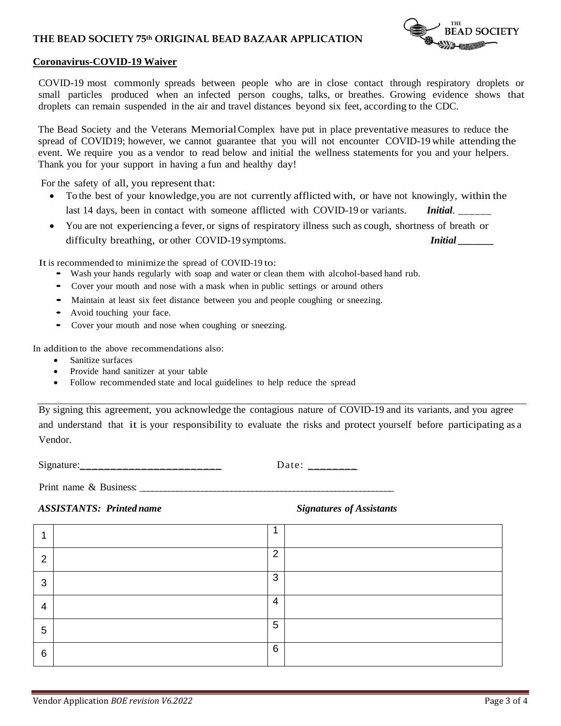## **THE BEAD SOCIETY 75th ORIGINAL BEAD BAZAAR APPLICATION**



### **Coronavirus-COVID-19 Waiver**

COVID-19 most commonly spreads between people who are in close contact through respiratory droplets or small particles produced when an infected person coughs, talks, or breathes. Growing evidence shows that droplets can remain suspended in the air and travel distances beyond six feet, according to the CDC.

The Bead Society and the Veterans MemorialComplex have put in place preventative measures to reduce the spread of COVID19; however, we cannot guarantee that you will not encounter COVID-19 while attending the event. We require you as a vendor to read below and initial the wellness statements for you and your helpers. Thank you for your support in having a fun and healthy day!

For the safety of all, you represent that:

- To the best of your knowledge,you are not currently afflicted with, or have not knowingly, within the last 14 days, been in contact with someone afflicted with COVID-19 or variants. *Initial*. \_\_\_\_\_\_
- You are not experiencing a fever, or signs of respiratory illness such as cough, shortness of breath or difficulty breathing, or other COVID-19 symptoms. **Initial** *Initial*

It is recommended to minimize the spread of COVID-19 to:

- Wash your hands regularly with soap and water or clean them with alcohol-based hand rub.
- Cover your mouth and nose with <sup>a</sup> mask when in public settings or around others
- Maintain at least six feet distance between you and people coughing or sneezing.
- Avoid touching your face.
- Cover your mouth and nose when coughing or sneezing.

In addition to the above recommendations also:

- Sanitize surfaces
- Provide hand sanitizer at your table
- Follow recommended state and local guidelines to help reduce the spread

By signing this agreement, you acknowledge the contagious nature of COVID-19 and its variants, and you agree and understand that it is your responsibility to evaluate the risks and protect yourself before participating as a Vendor.

Signature: \_\_\_\_\_\_\_\_\_\_\_\_\_\_\_\_\_\_\_\_\_\_\_\_\_\_\_\_\_\_\_ Date: \_\_\_\_\_\_\_\_\_\_

Print name  $\&$  Business:

*ASSISTANTS: Printed name* Signatures *Signatures of Assistants* 

|   | z. |                |  |
|---|----|----------------|--|
| ົ |    | $\overline{2}$ |  |
| 3 |    | 3              |  |
| 4 |    | $\overline{4}$ |  |
| 5 |    | 5              |  |
| 6 |    | 6              |  |